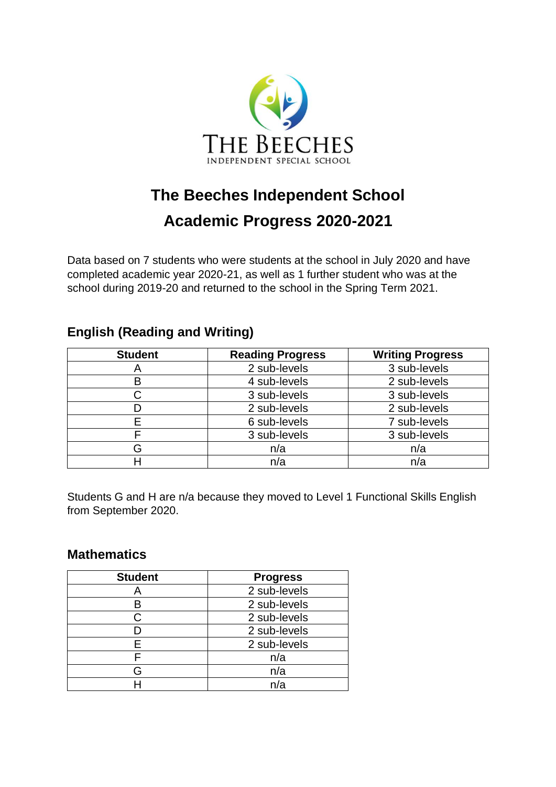

# **The Beeches Independent School Academic Progress 2020-2021**

Data based on 7 students who were students at the school in July 2020 and have completed academic year 2020-21, as well as 1 further student who was at the school during 2019-20 and returned to the school in the Spring Term 2021.

## **English (Reading and Writing)**

| <b>Student</b> | <b>Reading Progress</b> | <b>Writing Progress</b> |  |  |
|----------------|-------------------------|-------------------------|--|--|
|                | 2 sub-levels            | 3 sub-levels            |  |  |
| B              | 4 sub-levels            | 2 sub-levels            |  |  |
|                | 3 sub-levels            | 3 sub-levels            |  |  |
|                | 2 sub-levels            | 2 sub-levels            |  |  |
| E              | 6 sub-levels            | 7 sub-levels            |  |  |
|                | 3 sub-levels            | 3 sub-levels            |  |  |
| G              | n/a                     | n/a                     |  |  |
| Н              | n/a                     | n/a                     |  |  |

Students G and H are n/a because they moved to Level 1 Functional Skills English from September 2020.

### **Mathematics**

| <b>Student</b> | <b>Progress</b> |  |  |
|----------------|-----------------|--|--|
|                | 2 sub-levels    |  |  |
| в              | 2 sub-levels    |  |  |
| C.             | 2 sub-levels    |  |  |
|                | 2 sub-levels    |  |  |
| F              | 2 sub-levels    |  |  |
|                | n/a             |  |  |
| G              | n/a             |  |  |
|                | n/a             |  |  |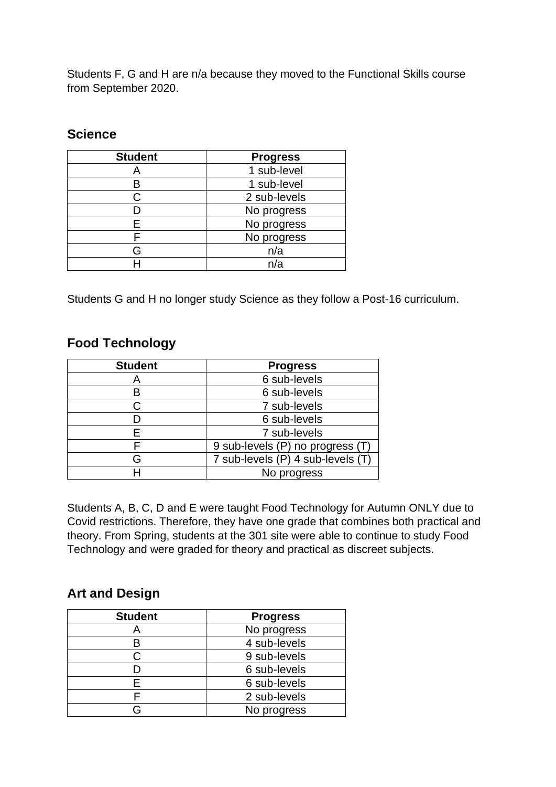Students F, G and H are n/a because they moved to the Functional Skills course from September 2020.

#### **Science**

| <b>Student</b> | <b>Progress</b> |  |  |
|----------------|-----------------|--|--|
|                | 1 sub-level     |  |  |
|                | 1 sub-level     |  |  |
|                | 2 sub-levels    |  |  |
|                | No progress     |  |  |
| F              | No progress     |  |  |
|                | No progress     |  |  |
| Բ              | n/a             |  |  |
|                | n/a             |  |  |

Students G and H no longer study Science as they follow a Post-16 curriculum.

#### **Food Technology**

| <b>Student</b> | <b>Progress</b>                   |  |  |  |
|----------------|-----------------------------------|--|--|--|
| Α              | 6 sub-levels                      |  |  |  |
| B              | 6 sub-levels                      |  |  |  |
|                | 7 sub-levels                      |  |  |  |
|                | 6 sub-levels                      |  |  |  |
|                | 7 sub-levels                      |  |  |  |
|                | 9 sub-levels (P) no progress (T)  |  |  |  |
| G              | 7 sub-levels (P) 4 sub-levels (T) |  |  |  |
|                | No progress                       |  |  |  |

Students A, B, C, D and E were taught Food Technology for Autumn ONLY due to Covid restrictions. Therefore, they have one grade that combines both practical and theory. From Spring, students at the 301 site were able to continue to study Food Technology and were graded for theory and practical as discreet subjects.

#### **Art and Design**

| <b>Student</b> | <b>Progress</b> |
|----------------|-----------------|
|                | No progress     |
| в              | 4 sub-levels    |
| C.             | 9 sub-levels    |
|                | 6 sub-levels    |
| F              | 6 sub-levels    |
|                | 2 sub-levels    |
| Բ              | No progress     |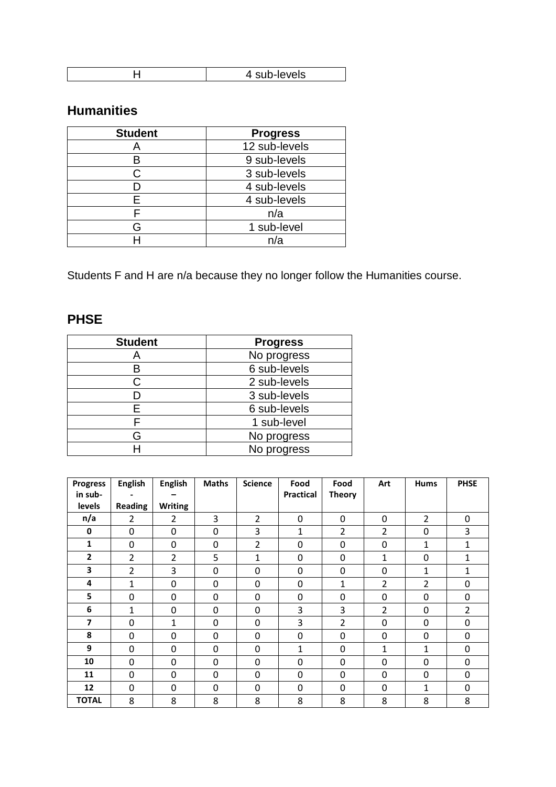| $-$<br>. In<br>713. |
|---------------------|

## **Humanities**

| <b>Student</b> | <b>Progress</b> |
|----------------|-----------------|
|                | 12 sub-levels   |
| в              | 9 sub-levels    |
| C.             | 3 sub-levels    |
|                | 4 sub-levels    |
| F              | 4 sub-levels    |
|                | n/a             |
| G              | 1 sub-level     |
|                | n/a             |

Students F and H are n/a because they no longer follow the Humanities course.

## **PHSE**

| <b>Student</b> | <b>Progress</b> |  |  |
|----------------|-----------------|--|--|
| Α              | No progress     |  |  |
| B              | 6 sub-levels    |  |  |
| C              | 2 sub-levels    |  |  |
|                | 3 sub-levels    |  |  |
| F              | 6 sub-levels    |  |  |
|                | 1 sub-level     |  |  |
| G              | No progress     |  |  |
|                | No progress     |  |  |

| <b>Progress</b>          | <b>English</b> | <b>English</b> | <b>Maths</b> | <b>Science</b> | Food             | Food           | Art            | <b>Hums</b>    | <b>PHSE</b>    |
|--------------------------|----------------|----------------|--------------|----------------|------------------|----------------|----------------|----------------|----------------|
| in sub-                  |                |                |              |                | <b>Practical</b> | <b>Theory</b>  |                |                |                |
| levels                   | <b>Reading</b> | <b>Writing</b> |              |                |                  |                |                |                |                |
| n/a                      | 2              | 2              | 3            | $\overline{2}$ | $\mathbf 0$      | $\mathbf 0$    | $\mathbf 0$    | $\overline{2}$ | 0              |
| 0                        | 0              | 0              | 0            | 3              | 1                | 2              | 2              | 0              | 3              |
| 1                        | 0              | 0              | 0            | $\overline{2}$ | $\mathbf{0}$     | $\mathbf{0}$   | 0              | $\mathbf{1}$   | $\mathbf{1}$   |
| $\mathbf{2}$             | $\overline{2}$ | $\overline{2}$ | 5            | 1              | $\mathbf 0$      | $\mathbf 0$    | 1              | 0              | 1              |
| 3                        | $\overline{2}$ | 3              | 0            | 0              | 0                | 0              | $\mathbf 0$    | $\mathbf{1}$   | 1              |
| 4                        | 1              | 0              | 0            | 0              | 0                | 1              | $\overline{2}$ | $\overline{2}$ | 0              |
| 5                        | 0              | 0              | 0            | $\Omega$       | 0                | 0              | 0              | 0              | $\Omega$       |
| 6                        | 1              | 0              | 0            | 0              | 3                | 3              | $\overline{2}$ | 0              | $\overline{2}$ |
| $\overline{\phantom{a}}$ | 0              | 1              | 0            | 0              | 3                | $\overline{2}$ | 0              | 0              | 0              |
| 8                        | 0              | 0              | 0            | 0              | 0                | 0              | 0              | 0              | 0              |
| 9                        | 0              | 0              | 0            | 0              | 1                | 0              | 1              | $\mathbf{1}$   | 0              |
| 10                       | 0              | 0              | 0            | $\Omega$       | $\mathbf{0}$     | $\Omega$       | 0              | 0              | 0              |
| 11                       | 0              | 0              | 0            | 0              | $\mathbf{0}$     | 0              | $\Omega$       | 0              | 0              |
| 12                       | 0              | 0              | 0            | $\Omega$       | $\mathbf{0}$     | $\Omega$       | $\mathbf 0$    | $\mathbf{1}$   | 0              |
| <b>TOTAL</b>             | 8              | 8              | 8            | 8              | 8                | 8              | 8              | 8              | 8              |